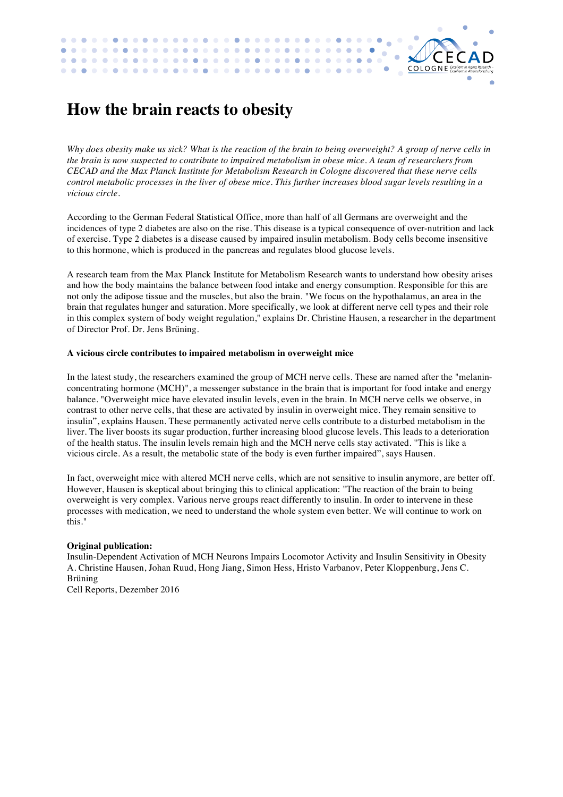## **How the brain reacts to obesity**

*Why does obesity make us sick? What is the reaction of the brain to being overweight? A group of nerve cells in the brain is now suspected to contribute to impaired metabolism in obese mice. A team of researchers from CECAD and the Max Planck Institute for Metabolism Research in Cologne discovered that these nerve cells control metabolic processes in the liver of obese mice. This further increases blood sugar levels resulting in a vicious circle.*

 $\bullet$  $\bullet$ 

 $\bullet$  $\bullet$  $\bullet$  ä

Ċ

COLOGNE

 $\sim$  $\blacksquare$ 

According to the German Federal Statistical Office, more than half of all Germans are overweight and the incidences of type 2 diabetes are also on the rise. This disease is a typical consequence of over-nutrition and lack of exercise. Type 2 diabetes is a disease caused by impaired insulin metabolism. Body cells become insensitive to this hormone, which is produced in the pancreas and regulates blood glucose levels.

A research team from the Max Planck Institute for Metabolism Research wants to understand how obesity arises and how the body maintains the balance between food intake and energy consumption. Responsible for this are not only the adipose tissue and the muscles, but also the brain. "We focus on the hypothalamus, an area in the brain that regulates hunger and saturation. More specifically, we look at different nerve cell types and their role in this complex system of body weight regulation," explains Dr. Christine Hausen, a researcher in the department of Director Prof. Dr. Jens Brüning.

## **A vicious circle contributes to impaired metabolism in overweight mice**

In the latest study, the researchers examined the group of MCH nerve cells. These are named after the "melaninconcentrating hormone (MCH)", a messenger substance in the brain that is important for food intake and energy balance. "Overweight mice have elevated insulin levels, even in the brain. In MCH nerve cells we observe, in contrast to other nerve cells, that these are activated by insulin in overweight mice. They remain sensitive to insulin", explains Hausen. These permanently activated nerve cells contribute to a disturbed metabolism in the liver. The liver boosts its sugar production, further increasing blood glucose levels. This leads to a deterioration of the health status. The insulin levels remain high and the MCH nerve cells stay activated. "This is like a vicious circle. As a result, the metabolic state of the body is even further impaired", says Hausen.

In fact, overweight mice with altered MCH nerve cells, which are not sensitive to insulin anymore, are better off. However, Hausen is skeptical about bringing this to clinical application: "The reaction of the brain to being overweight is very complex. Various nerve groups react differently to insulin. In order to intervene in these processes with medication, we need to understand the whole system even better. We will continue to work on this."

## **Original publication:**

Insulin-Dependent Activation of MCH Neurons Impairs Locomotor Activity and Insulin Sensitivity in Obesity A. Christine Hausen, Johan Ruud, Hong Jiang, Simon Hess, Hristo Varbanov, Peter Kloppenburg, Jens C. Brüning Cell Reports, Dezember 2016